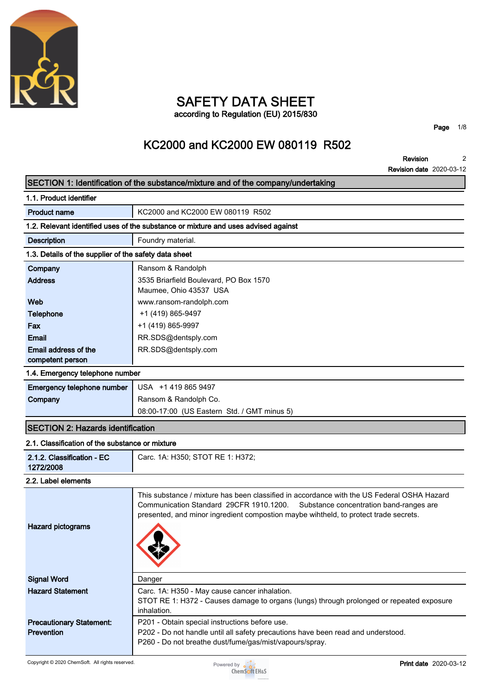

## **SAFETY DATA SHEET according to Regulation (EU) 2015/830**

**Page 1/8**

# **KC2000 and KC2000 EW 080119 R502**

**Revision Revision date 2020-03-12 2**

|                                                                                    | REVISION GALE ZUZU-US-TZ                                                                                                                                                                                                                                                 |  |  |  |
|------------------------------------------------------------------------------------|--------------------------------------------------------------------------------------------------------------------------------------------------------------------------------------------------------------------------------------------------------------------------|--|--|--|
|                                                                                    | SECTION 1: Identification of the substance/mixture and of the company/undertaking                                                                                                                                                                                        |  |  |  |
| 1.1. Product identifier                                                            |                                                                                                                                                                                                                                                                          |  |  |  |
| <b>Product name</b>                                                                | KC2000 and KC2000 EW 080119 R502                                                                                                                                                                                                                                         |  |  |  |
| 1.2. Relevant identified uses of the substance or mixture and uses advised against |                                                                                                                                                                                                                                                                          |  |  |  |
| <b>Description</b>                                                                 | Foundry material.                                                                                                                                                                                                                                                        |  |  |  |
| 1.3. Details of the supplier of the safety data sheet                              |                                                                                                                                                                                                                                                                          |  |  |  |
| Company                                                                            | Ransom & Randolph                                                                                                                                                                                                                                                        |  |  |  |
| <b>Address</b>                                                                     | 3535 Briarfield Boulevard, PO Box 1570<br>Maumee, Ohio 43537 USA                                                                                                                                                                                                         |  |  |  |
| Web                                                                                | www.ransom-randolph.com                                                                                                                                                                                                                                                  |  |  |  |
| <b>Telephone</b>                                                                   | +1 (419) 865-9497                                                                                                                                                                                                                                                        |  |  |  |
| <b>Fax</b>                                                                         | +1 (419) 865-9997                                                                                                                                                                                                                                                        |  |  |  |
| Email                                                                              | RR.SDS@dentsply.com                                                                                                                                                                                                                                                      |  |  |  |
| Email address of the                                                               | RR.SDS@dentsply.com                                                                                                                                                                                                                                                      |  |  |  |
| competent person                                                                   |                                                                                                                                                                                                                                                                          |  |  |  |
| 1.4. Emergency telephone number                                                    |                                                                                                                                                                                                                                                                          |  |  |  |
| Emergency telephone number                                                         | USA +1 419 865 9497                                                                                                                                                                                                                                                      |  |  |  |
| Company                                                                            | Ransom & Randolph Co.                                                                                                                                                                                                                                                    |  |  |  |
|                                                                                    | 08:00-17:00 (US Eastern Std. / GMT minus 5)                                                                                                                                                                                                                              |  |  |  |
| <b>SECTION 2: Hazards identification</b>                                           |                                                                                                                                                                                                                                                                          |  |  |  |
| 2.1. Classification of the substance or mixture                                    |                                                                                                                                                                                                                                                                          |  |  |  |
| 2.1.2. Classification - EC<br>1272/2008                                            | Carc. 1A: H350; STOT RE 1: H372;                                                                                                                                                                                                                                         |  |  |  |
| 2.2. Label elements                                                                |                                                                                                                                                                                                                                                                          |  |  |  |
| <b>Hazard pictograms</b>                                                           | This substance / mixture has been classified in accordance with the US Federal OSHA Hazard<br>Communication Standard 29CFR 1910.1200.<br>Substance concentration band-ranges are<br>presented, and minor ingredient compostion maybe wihtheld, to protect trade secrets. |  |  |  |
| <b>Signal Word</b>                                                                 | Danger                                                                                                                                                                                                                                                                   |  |  |  |
| <b>Hazard Statement</b>                                                            | Carc. 1A: H350 - May cause cancer inhalation.<br>STOT RE 1: H372 - Causes damage to organs (lungs) through prolonged or repeated exposure<br>inhalation.                                                                                                                 |  |  |  |
| <b>Precautionary Statement:</b><br><b>Prevention</b>                               | P201 - Obtain special instructions before use.<br>P202 - Do not handle until all safety precautions have been read and understood.<br>P260 - Do not breathe dust/fume/gas/mist/vapours/spray.                                                                            |  |  |  |

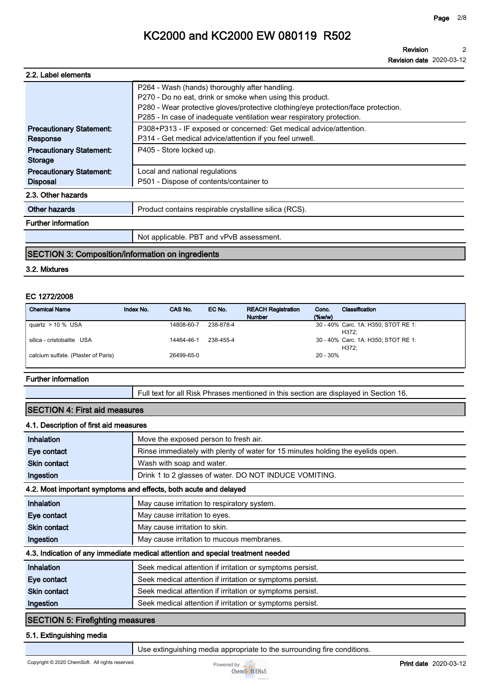**Revision 2**

**Revision date 2020-03-12**

| 2.2. Label elements                                |                                                                                                                                                                                                                                                                           |  |  |
|----------------------------------------------------|---------------------------------------------------------------------------------------------------------------------------------------------------------------------------------------------------------------------------------------------------------------------------|--|--|
|                                                    | P264 - Wash (hands) thoroughly after handling.<br>P270 - Do no eat, drink or smoke when using this product.<br>P280 - Wear protective gloves/protective clothing/eye protection/face protection.<br>P285 - In case of inadequate ventilation wear respiratory protection. |  |  |
| <b>Precautionary Statement:</b><br>Response        | P308+P313 - IF exposed or concerned: Get medical advice/attention.<br>P314 - Get medical advice/attention if you feel unwell.                                                                                                                                             |  |  |
| <b>Precautionary Statement:</b><br><b>Storage</b>  | P405 - Store locked up.                                                                                                                                                                                                                                                   |  |  |
| <b>Precautionary Statement:</b><br><b>Disposal</b> | Local and national regulations<br>P501 - Dispose of contents/container to                                                                                                                                                                                                 |  |  |
| 2.3. Other hazards                                 |                                                                                                                                                                                                                                                                           |  |  |
| Other hazards                                      | Product contains respirable crystalline silica (RCS).                                                                                                                                                                                                                     |  |  |
| <b>Further information</b>                         |                                                                                                                                                                                                                                                                           |  |  |
|                                                    | Not applicable. PBT and vPvB assessment.                                                                                                                                                                                                                                  |  |  |

#### **SECTION 3: Composition/information on ingredients**

#### **3.2. Mixtures**

#### **EC 1272/2008**

| <b>Chemical Name</b>                | Index No. | CAS No.    | EC No.    | <b>REACH Registration</b><br><b>Number</b> | Conc.<br>$(\%w/w)$ | Classification                               |
|-------------------------------------|-----------|------------|-----------|--------------------------------------------|--------------------|----------------------------------------------|
| quartz $> 10$ % USA                 |           | 14808-60-7 | 238-878-4 |                                            |                    | 30 - 40% Carc. 1A: H350; STOT RE 1:<br>H372: |
| silica - cristobalite USA           |           | 14464-46-1 | 238-455-4 |                                            |                    | 30 - 40% Carc. 1A: H350; STOT RE 1:<br>H372: |
| calcium sulfate. (Plaster of Paris) |           | 26499-65-0 |           |                                            | 20 - 30%           |                                              |

#### **Further information**

**Full text for all Risk Phrases mentioned in this section are displayed in Section 16.**

#### **SECTION 4: First aid measures**

#### **4.1. Description of first aid measures**

| Inhalation                                                                      | Move the exposed person to fresh air.                                           |  |  |  |
|---------------------------------------------------------------------------------|---------------------------------------------------------------------------------|--|--|--|
| Eye contact                                                                     | Rinse immediately with plenty of water for 15 minutes holding the eyelids open. |  |  |  |
| <b>Skin contact</b>                                                             | Wash with soap and water.                                                       |  |  |  |
| Ingestion                                                                       | Drink 1 to 2 glasses of water. DO NOT INDUCE VOMITING.                          |  |  |  |
| 4.2. Most important symptoms and effects, both acute and delayed                |                                                                                 |  |  |  |
| Inhalation                                                                      | May cause irritation to respiratory system.                                     |  |  |  |
| Eye contact                                                                     | May cause irritation to eyes.                                                   |  |  |  |
| <b>Skin contact</b>                                                             | May cause irritation to skin.                                                   |  |  |  |
| Ingestion                                                                       | May cause irritation to mucous membranes.                                       |  |  |  |
| 4.3. Indication of any immediate medical attention and special treatment needed |                                                                                 |  |  |  |
| Inhalation                                                                      | Seek medical attention if irritation or symptoms persist.                       |  |  |  |
| Eye contact                                                                     | Seek medical attention if irritation or symptoms persist.                       |  |  |  |
| <b>Skin contact</b>                                                             | Seek medical attention if irritation or symptoms persist.                       |  |  |  |
| Ingestion                                                                       | Seek medical attention if irritation or symptoms persist.                       |  |  |  |
| <b>SECTION 5: Firefighting measures</b>                                         |                                                                                 |  |  |  |

#### **5.1. Extinguishing media**

**Use extinguishing media appropriate to the surrounding fire conditions.**

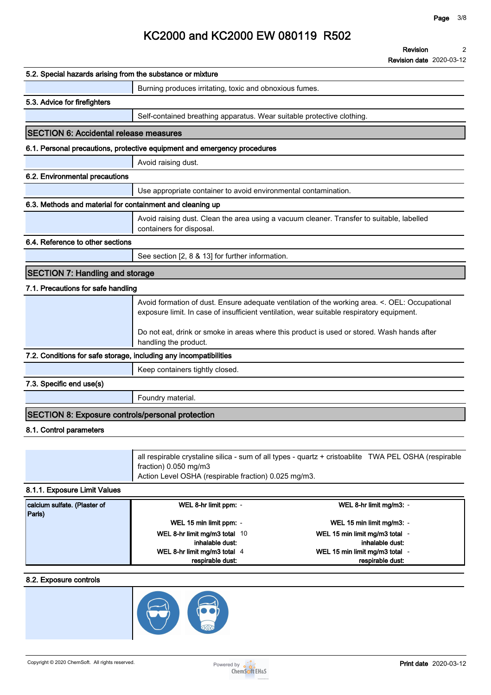**Revision date 2020-03-12**

| 5.2. Special hazards arising from the substance or mixture        |                                                                                                                                                                                             |  |  |
|-------------------------------------------------------------------|---------------------------------------------------------------------------------------------------------------------------------------------------------------------------------------------|--|--|
|                                                                   | Burning produces irritating, toxic and obnoxious fumes.                                                                                                                                     |  |  |
| 5.3. Advice for firefighters                                      |                                                                                                                                                                                             |  |  |
|                                                                   | Self-contained breathing apparatus. Wear suitable protective clothing.                                                                                                                      |  |  |
| <b>SECTION 6: Accidental release measures</b>                     |                                                                                                                                                                                             |  |  |
|                                                                   | 6.1. Personal precautions, protective equipment and emergency procedures                                                                                                                    |  |  |
|                                                                   | Avoid raising dust.                                                                                                                                                                         |  |  |
| 6.2. Environmental precautions                                    |                                                                                                                                                                                             |  |  |
|                                                                   | Use appropriate container to avoid environmental contamination.                                                                                                                             |  |  |
| 6.3. Methods and material for containment and cleaning up         |                                                                                                                                                                                             |  |  |
|                                                                   | Avoid raising dust. Clean the area using a vacuum cleaner. Transfer to suitable, labelled<br>containers for disposal.                                                                       |  |  |
| 6.4. Reference to other sections                                  |                                                                                                                                                                                             |  |  |
|                                                                   | See section [2, 8 & 13] for further information.                                                                                                                                            |  |  |
| <b>SECTION 7: Handling and storage</b>                            |                                                                                                                                                                                             |  |  |
| 7.1. Precautions for safe handling                                |                                                                                                                                                                                             |  |  |
|                                                                   | Avoid formation of dust. Ensure adequate ventilation of the working area. <. OEL: Occupational<br>exposure limit. In case of insufficient ventilation, wear suitable respiratory equipment. |  |  |
|                                                                   | Do not eat, drink or smoke in areas where this product is used or stored. Wash hands after<br>handling the product.                                                                         |  |  |
| 7.2. Conditions for safe storage, including any incompatibilities |                                                                                                                                                                                             |  |  |
|                                                                   | Keep containers tightly closed.                                                                                                                                                             |  |  |
| 7.3. Specific end use(s)                                          |                                                                                                                                                                                             |  |  |
|                                                                   | Foundry material.                                                                                                                                                                           |  |  |
| <b>SECTION 8: Exposure controls/personal protection</b>           |                                                                                                                                                                                             |  |  |
| 8.1. Control parameters                                           |                                                                                                                                                                                             |  |  |
|                                                                   |                                                                                                                                                                                             |  |  |
|                                                                   | all respirable crystaline silica - sum of all types - quartz + cristoablite TWA PEL OSHA (respirable<br>fraction) 0.050 mg/m3                                                               |  |  |

**Action Level OSHA (respirable fraction) 0.025 mg/m3.**

### **8.1.1. Exposure Limit Values**

| calcium sulfate. (Plaster of | WEL 8-hr limit ppm: -         | WEL 8-hr limit mg/m3: -        |  |
|------------------------------|-------------------------------|--------------------------------|--|
| Paris)                       |                               |                                |  |
|                              | WEL 15 min limit ppm: -       | WEL 15 min limit mg/m3: -      |  |
|                              | WEL 8-hr limit mg/m3 total 10 | WEL 15 min limit mg/m3 total - |  |
|                              | inhalable dust:               | inhalable dust:                |  |
|                              | WEL 8-hr limit mg/m3 total 4  | WEL 15 min limit mg/m3 total - |  |
|                              | respirable dust:              | respirable dust:               |  |

### **8.2. Exposure controls**



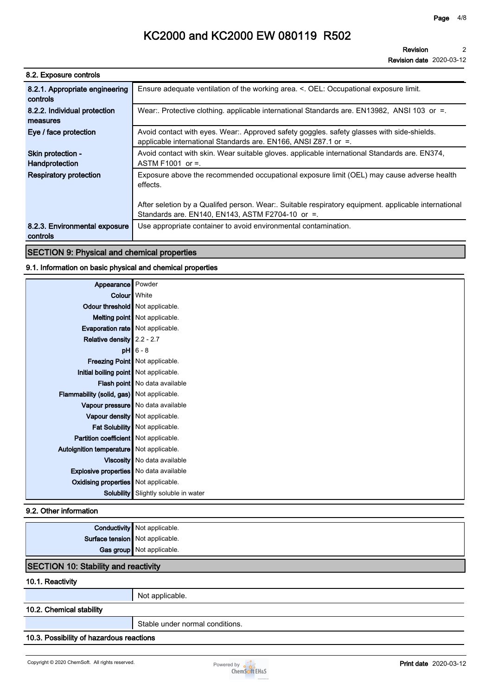**Revision date 2020-03-12**

| 8.2. Exposure controls                     |                                                                                                                                                               |
|--------------------------------------------|---------------------------------------------------------------------------------------------------------------------------------------------------------------|
| 8.2.1. Appropriate engineering<br>controls | Ensure adequate ventilation of the working area. <. OEL: Occupational exposure limit.                                                                         |
| 8.2.2. Individual protection<br>measures   | Wear:. Protective clothing. applicable international Standards are. EN13982, ANSI 103 or =.                                                                   |
| Eye / face protection                      | Avoid contact with eyes. Wear:. Approved safety goggles. safety glasses with side-shields.<br>applicable international Standards are. EN166, ANSI Z87.1 or =. |
| Skin protection -<br>Handprotection        | Avoid contact with skin. Wear suitable gloves. applicable international Standards are. EN374,<br>ASTM F1001 or $=$ .                                          |
| <b>Respiratory protection</b>              | Exposure above the recommended occupational exposure limit (OEL) may cause adverse health<br>effects.                                                         |
|                                            | After seletion by a Qualifed person. Wear:. Suitable respiratory equipment. applicable international<br>Standards are. EN140, EN143, ASTM F2704-10 or =.      |
| 8.2.3. Environmental exposure<br>controls  | Use appropriate container to avoid environmental contamination.                                                                                               |

### **SECTION 9: Physical and chemical properties**

### **9.1. Information on basic physical and chemical properties**

| Appearance Powder                             |                                       |
|-----------------------------------------------|---------------------------------------|
|                                               | Colour White                          |
| Odour threshold   Not applicable.             |                                       |
|                                               | Melting point   Not applicable.       |
| Evaporation rate   Not applicable.            |                                       |
| Relative density $2.2 - 2.7$                  |                                       |
|                                               | $pH$ 6 - 8                            |
|                                               | Freezing Point   Not applicable.      |
| Initial boiling point   Not applicable.       |                                       |
|                                               | Flash point No data available         |
| Flammability (solid, gas) Not applicable.     |                                       |
|                                               | Vapour pressure   No data available   |
|                                               | Vapour density Not applicable.        |
|                                               | <b>Fat Solubility</b> Not applicable. |
| Partition coefficient Not applicable.         |                                       |
| Autoignition temperature   Not applicable.    |                                       |
|                                               | Viscosity   No data available         |
| <b>Explosive properties</b> No data available |                                       |
| <b>Oxidising properties</b> Not applicable.   |                                       |
| <b>Solubility</b>                             | Slightly soluble in water             |

### **9.2. Other information**

|                                 | <b>Conductivity</b> Not applicable. |  |
|---------------------------------|-------------------------------------|--|
| Surface tension Not applicable. |                                     |  |
|                                 | Gas group Not applicable.           |  |
|                                 |                                     |  |

### **SECTION 10: Stability and reactivity**

#### **10.1. Reactivity**

**Not applicable.**

### **10.2. Chemical stability**

**Stable under normal conditions.**

### **10.3. Possibility of hazardous reactions**

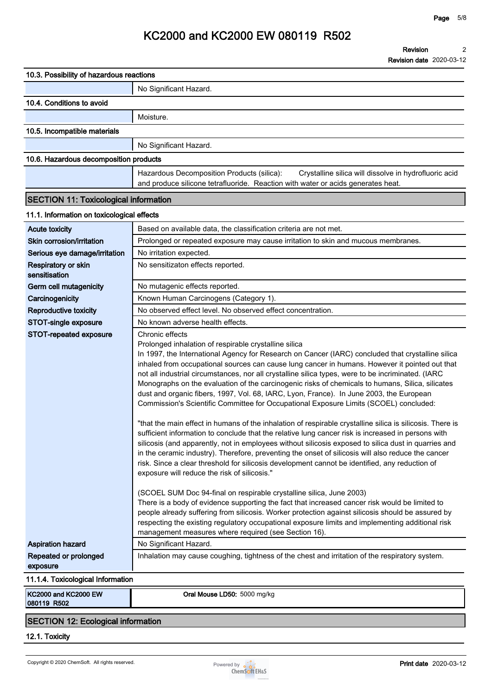| No Significant Hazard.<br>10.4. Conditions to avoid<br>Moisture.                                                                                                                                                                                                                                                                                                                                                                                                                                                                                                                                                                                                                                                                                                                                                                                                                                                                                                                                                                                                                                                                                                                                                                                                                                                                                                                                                                                                                                                                                                                                                                                                                                                                      |  |
|---------------------------------------------------------------------------------------------------------------------------------------------------------------------------------------------------------------------------------------------------------------------------------------------------------------------------------------------------------------------------------------------------------------------------------------------------------------------------------------------------------------------------------------------------------------------------------------------------------------------------------------------------------------------------------------------------------------------------------------------------------------------------------------------------------------------------------------------------------------------------------------------------------------------------------------------------------------------------------------------------------------------------------------------------------------------------------------------------------------------------------------------------------------------------------------------------------------------------------------------------------------------------------------------------------------------------------------------------------------------------------------------------------------------------------------------------------------------------------------------------------------------------------------------------------------------------------------------------------------------------------------------------------------------------------------------------------------------------------------|--|
|                                                                                                                                                                                                                                                                                                                                                                                                                                                                                                                                                                                                                                                                                                                                                                                                                                                                                                                                                                                                                                                                                                                                                                                                                                                                                                                                                                                                                                                                                                                                                                                                                                                                                                                                       |  |
|                                                                                                                                                                                                                                                                                                                                                                                                                                                                                                                                                                                                                                                                                                                                                                                                                                                                                                                                                                                                                                                                                                                                                                                                                                                                                                                                                                                                                                                                                                                                                                                                                                                                                                                                       |  |
|                                                                                                                                                                                                                                                                                                                                                                                                                                                                                                                                                                                                                                                                                                                                                                                                                                                                                                                                                                                                                                                                                                                                                                                                                                                                                                                                                                                                                                                                                                                                                                                                                                                                                                                                       |  |
| 10.5. Incompatible materials                                                                                                                                                                                                                                                                                                                                                                                                                                                                                                                                                                                                                                                                                                                                                                                                                                                                                                                                                                                                                                                                                                                                                                                                                                                                                                                                                                                                                                                                                                                                                                                                                                                                                                          |  |
| No Significant Hazard.                                                                                                                                                                                                                                                                                                                                                                                                                                                                                                                                                                                                                                                                                                                                                                                                                                                                                                                                                                                                                                                                                                                                                                                                                                                                                                                                                                                                                                                                                                                                                                                                                                                                                                                |  |
| 10.6. Hazardous decomposition products                                                                                                                                                                                                                                                                                                                                                                                                                                                                                                                                                                                                                                                                                                                                                                                                                                                                                                                                                                                                                                                                                                                                                                                                                                                                                                                                                                                                                                                                                                                                                                                                                                                                                                |  |
| Hazardous Decomposition Products (silica):<br>Crystalline silica will dissolve in hydrofluoric acid                                                                                                                                                                                                                                                                                                                                                                                                                                                                                                                                                                                                                                                                                                                                                                                                                                                                                                                                                                                                                                                                                                                                                                                                                                                                                                                                                                                                                                                                                                                                                                                                                                   |  |
| and produce silicone tetrafluoride. Reaction with water or acids generates heat.                                                                                                                                                                                                                                                                                                                                                                                                                                                                                                                                                                                                                                                                                                                                                                                                                                                                                                                                                                                                                                                                                                                                                                                                                                                                                                                                                                                                                                                                                                                                                                                                                                                      |  |
| <b>SECTION 11: Toxicological information</b>                                                                                                                                                                                                                                                                                                                                                                                                                                                                                                                                                                                                                                                                                                                                                                                                                                                                                                                                                                                                                                                                                                                                                                                                                                                                                                                                                                                                                                                                                                                                                                                                                                                                                          |  |
| 11.1. Information on toxicological effects                                                                                                                                                                                                                                                                                                                                                                                                                                                                                                                                                                                                                                                                                                                                                                                                                                                                                                                                                                                                                                                                                                                                                                                                                                                                                                                                                                                                                                                                                                                                                                                                                                                                                            |  |
| <b>Acute toxicity</b><br>Based on available data, the classification criteria are not met.                                                                                                                                                                                                                                                                                                                                                                                                                                                                                                                                                                                                                                                                                                                                                                                                                                                                                                                                                                                                                                                                                                                                                                                                                                                                                                                                                                                                                                                                                                                                                                                                                                            |  |
| Skin corrosion/irritation<br>Prolonged or repeated exposure may cause irritation to skin and mucous membranes.                                                                                                                                                                                                                                                                                                                                                                                                                                                                                                                                                                                                                                                                                                                                                                                                                                                                                                                                                                                                                                                                                                                                                                                                                                                                                                                                                                                                                                                                                                                                                                                                                        |  |
| Serious eye damage/irritation<br>No irritation expected.                                                                                                                                                                                                                                                                                                                                                                                                                                                                                                                                                                                                                                                                                                                                                                                                                                                                                                                                                                                                                                                                                                                                                                                                                                                                                                                                                                                                                                                                                                                                                                                                                                                                              |  |
| Respiratory or skin<br>No sensitizaton effects reported.<br>sensitisation                                                                                                                                                                                                                                                                                                                                                                                                                                                                                                                                                                                                                                                                                                                                                                                                                                                                                                                                                                                                                                                                                                                                                                                                                                                                                                                                                                                                                                                                                                                                                                                                                                                             |  |
| Germ cell mutagenicity<br>No mutagenic effects reported.                                                                                                                                                                                                                                                                                                                                                                                                                                                                                                                                                                                                                                                                                                                                                                                                                                                                                                                                                                                                                                                                                                                                                                                                                                                                                                                                                                                                                                                                                                                                                                                                                                                                              |  |
| Carcinogenicity<br>Known Human Carcinogens (Category 1).                                                                                                                                                                                                                                                                                                                                                                                                                                                                                                                                                                                                                                                                                                                                                                                                                                                                                                                                                                                                                                                                                                                                                                                                                                                                                                                                                                                                                                                                                                                                                                                                                                                                              |  |
| No observed effect level. No observed effect concentration.<br>Reproductive toxicity                                                                                                                                                                                                                                                                                                                                                                                                                                                                                                                                                                                                                                                                                                                                                                                                                                                                                                                                                                                                                                                                                                                                                                                                                                                                                                                                                                                                                                                                                                                                                                                                                                                  |  |
| STOT-single exposure<br>No known adverse health effects.                                                                                                                                                                                                                                                                                                                                                                                                                                                                                                                                                                                                                                                                                                                                                                                                                                                                                                                                                                                                                                                                                                                                                                                                                                                                                                                                                                                                                                                                                                                                                                                                                                                                              |  |
| STOT-repeated exposure<br>Chronic effects<br>Prolonged inhalation of respirable crystalline silica<br>In 1997, the International Agency for Research on Cancer (IARC) concluded that crystalline silica<br>inhaled from occupational sources can cause lung cancer in humans. However it pointed out that<br>not all industrial circumstances, nor all crystalline silica types, were to be incriminated. (IARC<br>Monographs on the evaluation of the carcinogenic risks of chemicals to humans, Silica, silicates<br>dust and organic fibers, 1997, Vol. 68, IARC, Lyon, France). In June 2003, the European<br>Commission's Scientific Committee for Occupational Exposure Limits (SCOEL) concluded:<br>"that the main effect in humans of the inhalation of respirable crystalline silica is silicosis. There is<br>sufficient information to conclude that the relative lung cancer risk is increased in persons with<br>silicosis (and apparently, not in employees without silicosis exposed to silica dust in quarries and<br>in the ceramic industry). Therefore, preventing the onset of silicosis will also reduce the cancer<br>risk. Since a clear threshold for silicosis development cannot be identified, any reduction of<br>exposure will reduce the risk of silicosis."<br>(SCOEL SUM Doc 94-final on respirable crystalline silica, June 2003)<br>There is a body of evidence supporting the fact that increased cancer risk would be limited to<br>people already suffering from silicosis. Worker protection against silicosis should be assured by<br>respecting the existing regulatory occupational exposure limits and implementing additional risk<br>management measures where required (see Section 16). |  |
| No Significant Hazard.<br><b>Aspiration hazard</b>                                                                                                                                                                                                                                                                                                                                                                                                                                                                                                                                                                                                                                                                                                                                                                                                                                                                                                                                                                                                                                                                                                                                                                                                                                                                                                                                                                                                                                                                                                                                                                                                                                                                                    |  |
| Repeated or prolonged<br>Inhalation may cause coughing, tightness of the chest and irritation of the respiratory system.<br>exposure                                                                                                                                                                                                                                                                                                                                                                                                                                                                                                                                                                                                                                                                                                                                                                                                                                                                                                                                                                                                                                                                                                                                                                                                                                                                                                                                                                                                                                                                                                                                                                                                  |  |
| 11.1.4. Toxicological Information                                                                                                                                                                                                                                                                                                                                                                                                                                                                                                                                                                                                                                                                                                                                                                                                                                                                                                                                                                                                                                                                                                                                                                                                                                                                                                                                                                                                                                                                                                                                                                                                                                                                                                     |  |
| KC2000 and KC2000 EW<br>Oral Mouse LD50: 5000 mg/kg<br>080119 R502                                                                                                                                                                                                                                                                                                                                                                                                                                                                                                                                                                                                                                                                                                                                                                                                                                                                                                                                                                                                                                                                                                                                                                                                                                                                                                                                                                                                                                                                                                                                                                                                                                                                    |  |

### **SECTION 12: Ecological information**

**12.1. Toxicity**

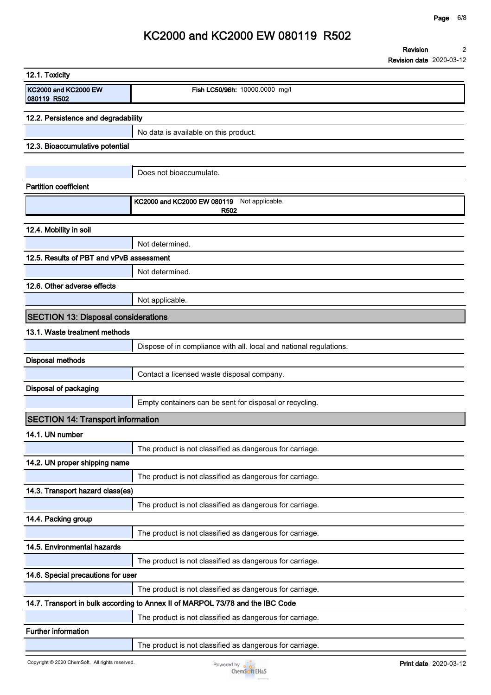**Revision date 2020-03-12**

## **KC2000 and KC2000 EW 080119 R502**

**Revision 2**

| 12.1. Toxicity                             |                                                                                |
|--------------------------------------------|--------------------------------------------------------------------------------|
| KC2000 and KC2000 EW<br>080119 R502        | Fish LC50/96h: 10000.0000 mg/l                                                 |
| 12.2. Persistence and degradability        |                                                                                |
|                                            | No data is available on this product.                                          |
| 12.3. Bioaccumulative potential            |                                                                                |
|                                            |                                                                                |
|                                            | Does not bioaccumulate.                                                        |
| <b>Partition coefficient</b>               |                                                                                |
|                                            | KC2000 and KC2000 EW 080119 Not applicable.<br>R <sub>502</sub>                |
| 12.4. Mobility in soil                     |                                                                                |
|                                            | Not determined.                                                                |
| 12.5. Results of PBT and vPvB assessment   |                                                                                |
|                                            | Not determined.                                                                |
| 12.6. Other adverse effects                |                                                                                |
|                                            | Not applicable.                                                                |
| <b>SECTION 13: Disposal considerations</b> |                                                                                |
| 13.1. Waste treatment methods              |                                                                                |
|                                            | Dispose of in compliance with all. local and national regulations.             |
| <b>Disposal methods</b>                    |                                                                                |
|                                            | Contact a licensed waste disposal company.                                     |
| Disposal of packaging                      |                                                                                |
|                                            | Empty containers can be sent for disposal or recycling.                        |
| <b>SECTION 14: Transport information</b>   |                                                                                |
| 14.1. UN number                            |                                                                                |
|                                            | The product is not classified as dangerous for carriage.                       |
| 14.2. UN proper shipping name              |                                                                                |
|                                            | The product is not classified as dangerous for carriage.                       |
| 14.3. Transport hazard class(es)           |                                                                                |
|                                            | The product is not classified as dangerous for carriage.                       |
| 14.4. Packing group                        |                                                                                |
|                                            | The product is not classified as dangerous for carriage.                       |
| 14.5. Environmental hazards                |                                                                                |
|                                            | The product is not classified as dangerous for carriage.                       |
| 14.6. Special precautions for user         |                                                                                |
|                                            | The product is not classified as dangerous for carriage.                       |
|                                            | 14.7. Transport in bulk according to Annex II of MARPOL 73/78 and the IBC Code |
|                                            | The product is not classified as dangerous for carriage.                       |
| Further information                        |                                                                                |
|                                            | The product is not classified as dangerous for carriage.                       |

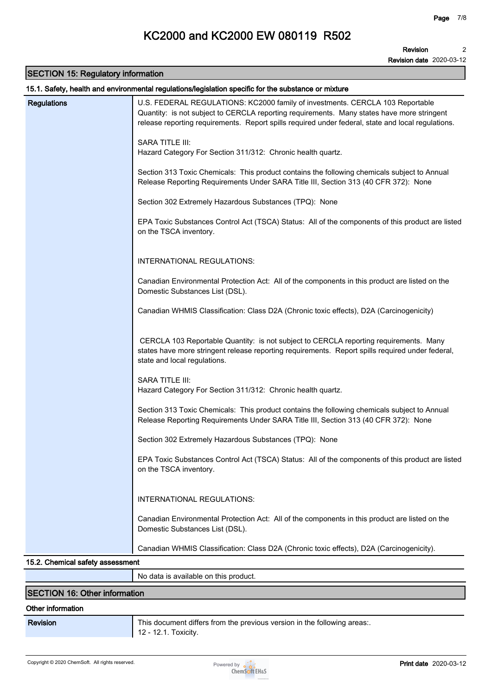**Revision date 2020-03-12**

### **SECTION 15: Regulatory information**

| <b>Regulations</b><br>U.S. FEDERAL REGULATIONS: KC2000 family of investments. CERCLA 103 Reportable<br>Quantity: is not subject to CERCLA reporting requirements. Many states have more stringent<br>release reporting requirements. Report spills required under federal, state and local regulations.<br>SARA TITLE III:<br>Hazard Category For Section 311/312: Chronic health quartz.<br>Section 313 Toxic Chemicals: This product contains the following chemicals subject to Annual<br>Release Reporting Requirements Under SARA Title III, Section 313 (40 CFR 372): None<br>Section 302 Extremely Hazardous Substances (TPQ): None<br>EPA Toxic Substances Control Act (TSCA) Status: All of the components of this product are listed<br>on the TSCA inventory.<br>INTERNATIONAL REGULATIONS:<br>Canadian Environmental Protection Act: All of the components in this product are listed on the<br>Domestic Substances List (DSL).<br>Canadian WHMIS Classification: Class D2A (Chronic toxic effects), D2A (Carcinogenicity)<br>CERCLA 103 Reportable Quantity: is not subject to CERCLA reporting requirements. Many<br>states have more stringent release reporting requirements. Report spills required under federal,<br>state and local regulations.<br>SARA TITLE III:<br>Hazard Category For Section 311/312: Chronic health quartz.<br>Section 313 Toxic Chemicals: This product contains the following chemicals subject to Annual<br>Release Reporting Requirements Under SARA Title III, Section 313 (40 CFR 372): None<br>Section 302 Extremely Hazardous Substances (TPQ): None<br>EPA Toxic Substances Control Act (TSCA) Status: All of the components of this product are listed<br>on the TSCA inventory. |  |  |
|--------------------------------------------------------------------------------------------------------------------------------------------------------------------------------------------------------------------------------------------------------------------------------------------------------------------------------------------------------------------------------------------------------------------------------------------------------------------------------------------------------------------------------------------------------------------------------------------------------------------------------------------------------------------------------------------------------------------------------------------------------------------------------------------------------------------------------------------------------------------------------------------------------------------------------------------------------------------------------------------------------------------------------------------------------------------------------------------------------------------------------------------------------------------------------------------------------------------------------------------------------------------------------------------------------------------------------------------------------------------------------------------------------------------------------------------------------------------------------------------------------------------------------------------------------------------------------------------------------------------------------------------------------------------------------------------------------------------------------------|--|--|
|                                                                                                                                                                                                                                                                                                                                                                                                                                                                                                                                                                                                                                                                                                                                                                                                                                                                                                                                                                                                                                                                                                                                                                                                                                                                                                                                                                                                                                                                                                                                                                                                                                                                                                                                      |  |  |
|                                                                                                                                                                                                                                                                                                                                                                                                                                                                                                                                                                                                                                                                                                                                                                                                                                                                                                                                                                                                                                                                                                                                                                                                                                                                                                                                                                                                                                                                                                                                                                                                                                                                                                                                      |  |  |
|                                                                                                                                                                                                                                                                                                                                                                                                                                                                                                                                                                                                                                                                                                                                                                                                                                                                                                                                                                                                                                                                                                                                                                                                                                                                                                                                                                                                                                                                                                                                                                                                                                                                                                                                      |  |  |
|                                                                                                                                                                                                                                                                                                                                                                                                                                                                                                                                                                                                                                                                                                                                                                                                                                                                                                                                                                                                                                                                                                                                                                                                                                                                                                                                                                                                                                                                                                                                                                                                                                                                                                                                      |  |  |
|                                                                                                                                                                                                                                                                                                                                                                                                                                                                                                                                                                                                                                                                                                                                                                                                                                                                                                                                                                                                                                                                                                                                                                                                                                                                                                                                                                                                                                                                                                                                                                                                                                                                                                                                      |  |  |
|                                                                                                                                                                                                                                                                                                                                                                                                                                                                                                                                                                                                                                                                                                                                                                                                                                                                                                                                                                                                                                                                                                                                                                                                                                                                                                                                                                                                                                                                                                                                                                                                                                                                                                                                      |  |  |
|                                                                                                                                                                                                                                                                                                                                                                                                                                                                                                                                                                                                                                                                                                                                                                                                                                                                                                                                                                                                                                                                                                                                                                                                                                                                                                                                                                                                                                                                                                                                                                                                                                                                                                                                      |  |  |
|                                                                                                                                                                                                                                                                                                                                                                                                                                                                                                                                                                                                                                                                                                                                                                                                                                                                                                                                                                                                                                                                                                                                                                                                                                                                                                                                                                                                                                                                                                                                                                                                                                                                                                                                      |  |  |
|                                                                                                                                                                                                                                                                                                                                                                                                                                                                                                                                                                                                                                                                                                                                                                                                                                                                                                                                                                                                                                                                                                                                                                                                                                                                                                                                                                                                                                                                                                                                                                                                                                                                                                                                      |  |  |
|                                                                                                                                                                                                                                                                                                                                                                                                                                                                                                                                                                                                                                                                                                                                                                                                                                                                                                                                                                                                                                                                                                                                                                                                                                                                                                                                                                                                                                                                                                                                                                                                                                                                                                                                      |  |  |
|                                                                                                                                                                                                                                                                                                                                                                                                                                                                                                                                                                                                                                                                                                                                                                                                                                                                                                                                                                                                                                                                                                                                                                                                                                                                                                                                                                                                                                                                                                                                                                                                                                                                                                                                      |  |  |
|                                                                                                                                                                                                                                                                                                                                                                                                                                                                                                                                                                                                                                                                                                                                                                                                                                                                                                                                                                                                                                                                                                                                                                                                                                                                                                                                                                                                                                                                                                                                                                                                                                                                                                                                      |  |  |
|                                                                                                                                                                                                                                                                                                                                                                                                                                                                                                                                                                                                                                                                                                                                                                                                                                                                                                                                                                                                                                                                                                                                                                                                                                                                                                                                                                                                                                                                                                                                                                                                                                                                                                                                      |  |  |
|                                                                                                                                                                                                                                                                                                                                                                                                                                                                                                                                                                                                                                                                                                                                                                                                                                                                                                                                                                                                                                                                                                                                                                                                                                                                                                                                                                                                                                                                                                                                                                                                                                                                                                                                      |  |  |
| INTERNATIONAL REGULATIONS:                                                                                                                                                                                                                                                                                                                                                                                                                                                                                                                                                                                                                                                                                                                                                                                                                                                                                                                                                                                                                                                                                                                                                                                                                                                                                                                                                                                                                                                                                                                                                                                                                                                                                                           |  |  |
| Canadian Environmental Protection Act: All of the components in this product are listed on the<br>Domestic Substances List (DSL).                                                                                                                                                                                                                                                                                                                                                                                                                                                                                                                                                                                                                                                                                                                                                                                                                                                                                                                                                                                                                                                                                                                                                                                                                                                                                                                                                                                                                                                                                                                                                                                                    |  |  |
| Canadian WHMIS Classification: Class D2A (Chronic toxic effects), D2A (Carcinogenicity).                                                                                                                                                                                                                                                                                                                                                                                                                                                                                                                                                                                                                                                                                                                                                                                                                                                                                                                                                                                                                                                                                                                                                                                                                                                                                                                                                                                                                                                                                                                                                                                                                                             |  |  |
| 15.2. Chemical safety assessment                                                                                                                                                                                                                                                                                                                                                                                                                                                                                                                                                                                                                                                                                                                                                                                                                                                                                                                                                                                                                                                                                                                                                                                                                                                                                                                                                                                                                                                                                                                                                                                                                                                                                                     |  |  |

**No data is available on this product.**

### **SECTION 16: Other information**

#### **Other information**

**Revision This document differs from the previous version in the following areas:. 12 - 12.1. Toxicity.**